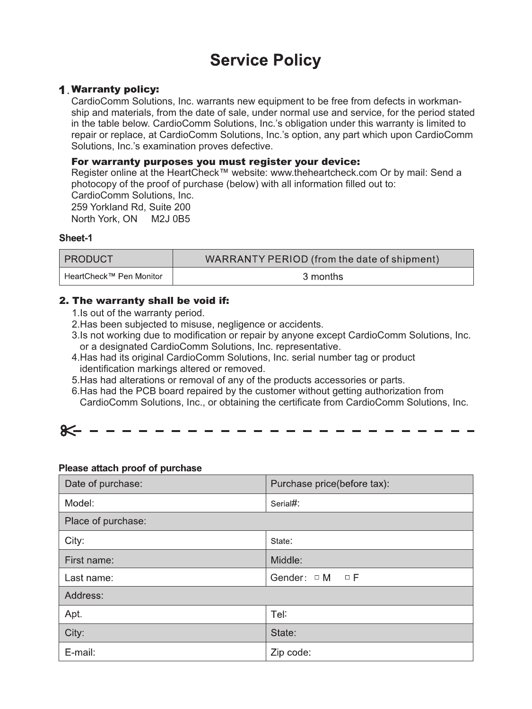# **Service Policy**

### **1 Warranty policy:**

CardioComm Solutions, Inc. warrants new equipment to be free from defects in workmanship and materials, from the date of sale, under normal use and service, for the period stated in the table below. CardioComm Solutions, Inc.'s obligation under this warranty is limited to repair or replace, at CardioComm Solutions, Inc.'s option, any part which upon CardioComm Solutions, Inc.'s examination proves defective.

# For warranty purposes you must register your device:

Register online at the HeartCheck™ website: www.theheartcheck.com Or by mail: Send a photocopy of the proof of purchase (below) with all information filled out to: CardioComm Solutions, Inc. 259 Yorkland Rd, Suite 200

North York, ON M2J 0B5

## Sheet-1

| <b>PRODUCT</b>          | WARRANTY PERIOD (from the date of shipment) |  |  |  |  |  |
|-------------------------|---------------------------------------------|--|--|--|--|--|
| HeartCheck™ Pen Monitor | 3 months                                    |  |  |  |  |  |

# 2. The warranty shall be void if:

- 1.Is out of the warranty period.
- 2. Has been subjected to misuse, negligence or accidents.
- 3.Is not working due to modification or repair by anyone except CardioComm Solutions, Inc. or a designated CardioComm Solutions, Inc. representative.
- 4.Has had its original CardioComm Solutions, Inc. serial number tag or product identification markings altered or removed.
- 5.Has had alterations or removal of any of the products accessories or parts.
- 6.Has had the PCB board repaired by the customer without getting authorization from CardioComm Solutions, Inc., or obtaining the certificate from CardioComm Solutions, Inc.

| 85------------------------ |  |  |  |  |  |  |  |  |  |  |  |  |  |  |  |  |  |  |  |  |  |  |  |  |
|----------------------------|--|--|--|--|--|--|--|--|--|--|--|--|--|--|--|--|--|--|--|--|--|--|--|--|
|----------------------------|--|--|--|--|--|--|--|--|--|--|--|--|--|--|--|--|--|--|--|--|--|--|--|--|

### Please attach proof of purchase

| Date of purchase:  | Purchase price(before tax): |  |  |  |  |  |  |  |
|--------------------|-----------------------------|--|--|--|--|--|--|--|
| Model:             | Serial#:                    |  |  |  |  |  |  |  |
| Place of purchase: |                             |  |  |  |  |  |  |  |
| City:              | State:                      |  |  |  |  |  |  |  |
| First name:        | Middle:                     |  |  |  |  |  |  |  |
| Last name:         | Gender: OM OF               |  |  |  |  |  |  |  |
| Address:           |                             |  |  |  |  |  |  |  |
| Apt.               | Tel:                        |  |  |  |  |  |  |  |
| City:              | State:                      |  |  |  |  |  |  |  |
| E-mail:            | Zip code:                   |  |  |  |  |  |  |  |